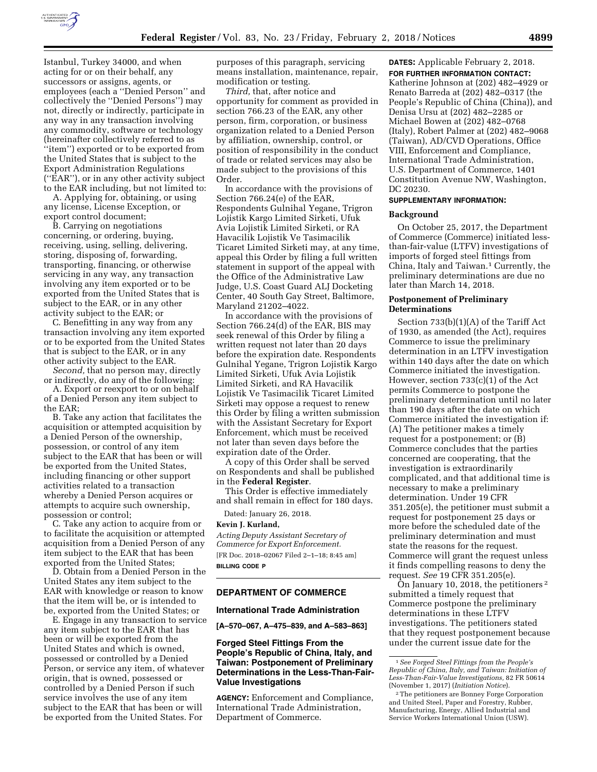

purposes of this paragraph, servicing means installation, maintenance, repair, modification or testing.

*Third,* that, after notice and opportunity for comment as provided in section 766.23 of the EAR, any other person, firm, corporation, or business organization related to a Denied Person by affiliation, ownership, control, or position of responsibility in the conduct of trade or related services may also be made subject to the provisions of this Order.

In accordance with the provisions of Section 766.24(e) of the EAR, Respondents Gulnihal Yegane, Trigron Lojistik Kargo Limited Sirketi, Ufuk Avia Lojistik Limited Sirketi, or RA Havacilik Lojistik Ve Tasimacilik Ticaret Limited Sirketi may, at any time, appeal this Order by filing a full written statement in support of the appeal with the Office of the Administrative Law Judge, U.S. Coast Guard ALJ Docketing Center, 40 South Gay Street, Baltimore, Maryland 21202–4022.

In accordance with the provisions of Section 766.24(d) of the EAR, BIS may seek renewal of this Order by filing a written request not later than 20 days before the expiration date. Respondents Gulnihal Yegane, Trigron Lojistik Kargo Limited Sirketi, Ufuk Avia Lojistik Limited Sirketi, and RA Havacilik Lojistik Ve Tasimacilik Ticaret Limited Sirketi may oppose a request to renew this Order by filing a written submission with the Assistant Secretary for Export Enforcement, which must be received not later than seven days before the expiration date of the Order.

A copy of this Order shall be served on Respondents and shall be published in the **Federal Register**.

This Order is effective immediately and shall remain in effect for 180 days.

Dated: January 26, 2018. **Kevin J. Kurland,** 

*Acting Deputy Assistant Secretary of Commerce for Export Enforcement.*  [FR Doc. 2018–02067 Filed 2–1–18; 8:45 am] **BILLING CODE P** 

#### **DEPARTMENT OF COMMERCE**

#### **International Trade Administration**

**[A–570–067, A–475–839, and A–583–863]** 

# **Forged Steel Fittings From the People's Republic of China, Italy, and Taiwan: Postponement of Preliminary Determinations in the Less-Than-Fair-Value Investigations**

**AGENCY:** Enforcement and Compliance, International Trade Administration, Department of Commerce.

**DATES:** Applicable February 2, 2018. **FOR FURTHER INFORMATION CONTACT:**  Katherine Johnson at (202) 482–4929 or Renato Barreda at (202) 482–0317 (the People's Republic of China (China)), and Denisa Ursu at (202) 482–2285 or Michael Bowen at (202) 482–0768 (Italy), Robert Palmer at (202) 482–9068 (Taiwan), AD/CVD Operations, Office VIII, Enforcement and Compliance, International Trade Administration, U.S. Department of Commerce, 1401 Constitution Avenue NW, Washington, DC 20230.

### **SUPPLEMENTARY INFORMATION:**

#### **Background**

On October 25, 2017, the Department of Commerce (Commerce) initiated lessthan-fair-value (LTFV) investigations of imports of forged steel fittings from China, Italy and Taiwan.1 Currently, the preliminary determinations are due no later than March 14, 2018.

#### **Postponement of Preliminary Determinations**

Section 733(b)(1)(A) of the Tariff Act of 1930, as amended (the Act), requires Commerce to issue the preliminary determination in an LTFV investigation within 140 days after the date on which Commerce initiated the investigation. However, section 733(c)(1) of the Act permits Commerce to postpone the preliminary determination until no later than 190 days after the date on which Commerce initiated the investigation if: (A) The petitioner makes a timely request for a postponement; or (B) Commerce concludes that the parties concerned are cooperating, that the investigation is extraordinarily complicated, and that additional time is necessary to make a preliminary determination. Under 19 CFR 351.205(e), the petitioner must submit a request for postponement 25 days or more before the scheduled date of the preliminary determination and must state the reasons for the request. Commerce will grant the request unless it finds compelling reasons to deny the request. *See* 19 CFR 351.205(e).

On January 10, 2018, the petitioners 2 submitted a timely request that Commerce postpone the preliminary determinations in these LTFV investigations. The petitioners stated that they request postponement because under the current issue date for the

Istanbul, Turkey 34000, and when acting for or on their behalf, any successors or assigns, agents, or employees (each a ''Denied Person'' and collectively the ''Denied Persons'') may not, directly or indirectly, participate in any way in any transaction involving any commodity, software or technology (hereinafter collectively referred to as ''item'') exported or to be exported from the United States that is subject to the Export Administration Regulations (''EAR''), or in any other activity subject to the EAR including, but not limited to:

A. Applying for, obtaining, or using any license, License Exception, or export control document;

B. Carrying on negotiations concerning, or ordering, buying, receiving, using, selling, delivering, storing, disposing of, forwarding, transporting, financing, or otherwise servicing in any way, any transaction involving any item exported or to be exported from the United States that is subject to the EAR, or in any other activity subject to the EAR; or

C. Benefitting in any way from any transaction involving any item exported or to be exported from the United States that is subject to the EAR, or in any other activity subject to the EAR.

*Second,* that no person may, directly or indirectly, do any of the following:

A. Export or reexport to or on behalf of a Denied Person any item subject to the EAR;

B. Take any action that facilitates the acquisition or attempted acquisition by a Denied Person of the ownership, possession, or control of any item subject to the EAR that has been or will be exported from the United States, including financing or other support activities related to a transaction whereby a Denied Person acquires or attempts to acquire such ownership, possession or control;

C. Take any action to acquire from or to facilitate the acquisition or attempted acquisition from a Denied Person of any item subject to the EAR that has been exported from the United States;

D. Obtain from a Denied Person in the United States any item subject to the EAR with knowledge or reason to know that the item will be, or is intended to be, exported from the United States; or

E. Engage in any transaction to service any item subject to the EAR that has been or will be exported from the United States and which is owned, possessed or controlled by a Denied Person, or service any item, of whatever origin, that is owned, possessed or controlled by a Denied Person if such service involves the use of any item subject to the EAR that has been or will be exported from the United States. For

<sup>1</sup>*See Forged Steel Fittings from the People's Republic of China, Italy, and Taiwan: Initiation of Less-Than-Fair-Value Investigations,* 82 FR 50614 (November 1, 2017) (*Initiation Notice*).

<sup>2</sup>The petitioners are Bonney Forge Corporation and United Steel, Paper and Forestry, Rubber, Manufacturing, Energy, Allied Industrial and Service Workers International Union (USW).